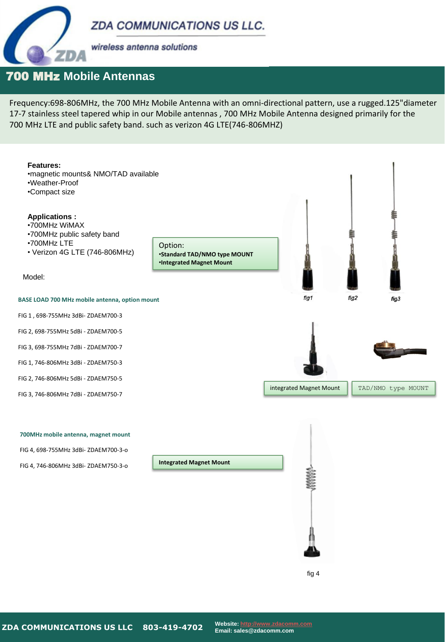**ZDA COMMUNICATIONS US LLC.** 



wireless antenna solutions

## 700 MHz **Mobile Antennas**

Frequency:698-806MHz, the 700 MHz Mobile Antenna with an omni-directional pattern, use a rugged.125"diameter 17-7 stainless steel tapered whip in our Mobile antennas , 700 MHz Mobile Antenna designed primarily for the 700 MHz LTE and public safety band. such as verizon 4G LTE(746-806MHZ)